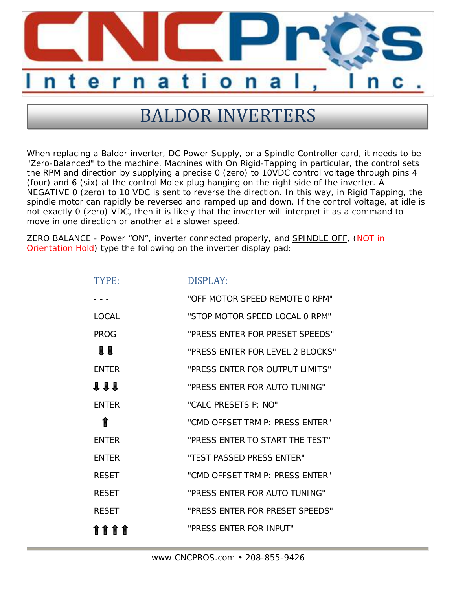

## **BALDOR INVERTERS**

When replacing a Baldor inverter, DC Power Supply, or a Spindle Controller card, it needs to be "Zero-Balanced" to the machine. Machines with On Rigid-Tapping in particular, the control sets the RPM and direction by supplying a precise 0 (zero) to 10VDC control voltage through pins 4 (four) and 6 (six) at the control Molex plug hanging on the right side of the inverter. A NEGATIVE 0 (zero) to 10 VDC is sent to reverse the direction. In this way, in Rigid Tapping, the spindle motor can rapidly be reversed and ramped up and down. If the control voltage, at idle is not exactly 0 (zero) VDC, then it is likely that the inverter will interpret it as a command to move in one direction or another at a slower speed.

ZERO BALANCE - Power "ON", inverter connected properly, and SPINDLE OFF, (NOT in Orientation Hold) type the following on the inverter display pad:

| TYPE:         | <b>DISPLAY:</b>                  |
|---------------|----------------------------------|
|               | "OFF MOTOR SPFFD REMOTE O RPM"   |
| <b>LOCAL</b>  | "STOP MOTOR SPEED LOCAL 0 RPM"   |
| <b>PROG</b>   | "PRESS ENTER FOR PRESET SPEEDS"  |
| $\mathbf{11}$ | "PRESS ENTER FOR LEVEL 2 BLOCKS" |
| <b>ENTER</b>  | "PRESS ENTER FOR OUTPUT LIMITS"  |
| <b>111</b>    | "PRESS ENTER FOR AUTO TUNING"    |
| <b>FNTFR</b>  | "CALC PRESETS P: NO"             |
| ⇑             | "CMD OFFSET TRM P: PRESS FNTFR"  |
| <b>ENTER</b>  | "PRESS ENTER TO START THE TEST"  |
| <b>ENTER</b>  | "TEST PASSED PRESS ENTER"        |
| <b>RESET</b>  | "CMD OFFSFT TRM P: PRESS FNTFR"  |
| <b>RESET</b>  | "PRESS ENTER FOR AUTO TUNING"    |
| <b>RESET</b>  | "PRESS ENTER FOR PRESET SPEEDS"  |
| <b>8888</b>   | "PRESS ENTER FOR INPUT"          |